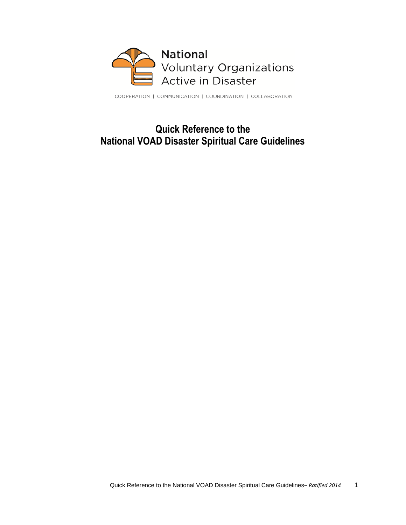

COOPERATION | COMMUNICATION | COORDINATION | COLLABORATION

# **Quick Reference to the National VOAD Disaster Spiritual Care Guidelines**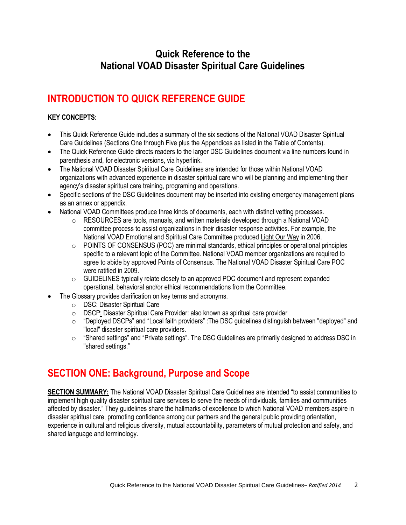# **Quick Reference to the National VOAD Disaster Spiritual Care Guidelines**

# **INTRODUCTION TO QUICK REFERENCE GUIDE**

### **KEY CONCEPTS:**

- This Quick Reference Guide includes a summary of the six sections of the National VOAD Disaster Spiritual Care Guidelines (Sections One through Five plus the Appendices as listed in the Table of Contents).
- The Quick Reference Guide directs readers to the larger DSC Guidelines document via line numbers found in parenthesis and, for electronic versions, via hyperlink.
- The National VOAD Disaster Spiritual Care Guidelines are intended for those within National VOAD organizations with advanced experience in disaster spiritual care who will be planning and implementing their agency's disaster spiritual care training, programing and operations.
- Specific sections of the DSC Guidelines document may be inserted into existing emergency management plans as an annex or appendix.
- National VOAD Committees produce three kinds of documents, each with distinct vetting processes.
	- $\circ$  RESOURCES are tools, manuals, and written materials developed through a National VOAD committee process to assist organizations in their disaster response activities. For example, the National VOAD Emotional and Spiritual Care Committee produced Light Our Way in 2006.
	- $\circ$  POINTS OF CONSENSUS (POC) are minimal standards, ethical principles or operational principles specific to a relevant topic of the Committee. National VOAD member organizations are required to agree to abide by approved Points of Consensus. The National VOAD Disaster Spiritual Care POC were ratified in 2009.
	- $\circ$  GUIDELINES typically relate closely to an approved POC document and represent expanded operational, behavioral and/or ethical recommendations from the Committee.
- The Glossary provides clarification on key terms and acronyms.
	- o DSC: Disaster Spiritual Care
	- o DSCP: Disaster Spiritual Care Provider: also known as spiritual care provider
	- $\circ$  "Deployed DSCPs" and "Local faith providers" :The DSC quidelines distinguish between "deployed" and "local" disaster spiritual care providers.
	- $\circ$  "Shared settings" and "Private settings". The DSC Guidelines are primarily designed to address DSC in "shared settings."

# **SECTION ONE: Background, Purpose and Scope**

**SECTION SUMMARY:** The National VOAD Disaster Spiritual Care Guidelines are intended "to assist communities to implement high quality disaster spiritual care services to serve the needs of individuals, families and communities affected by disaster." They guidelines share the hallmarks of excellence to which National VOAD members aspire in disaster spiritual care, promoting confidence among our partners and the general public providing orientation, experience in cultural and religious diversity, mutual accountability, parameters of mutual protection and safety, and shared language and terminology.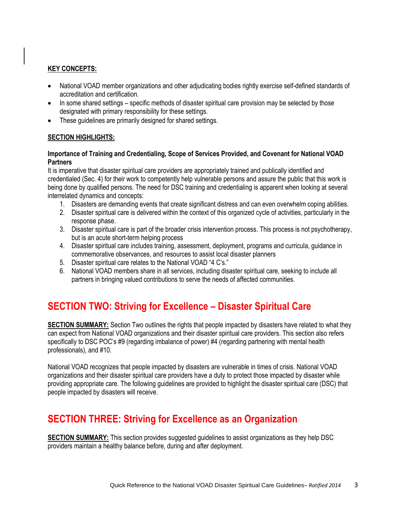#### **KEY CONCEPTS:**

- National VOAD member organizations and other adjudicating bodies rightly exercise self-defined standards of accreditation and certification.
- In some shared settings specific methods of disaster spiritual care provision may be selected by those designated with primary responsibility for these settings.
- These guidelines are primarily designed for shared settings.

#### **SECTION HIGHLIGHTS:**

#### **Importance of Training and Credentialing, Scope of Services Provided, and Covenant for National VOAD Partners**

It is imperative that disaster spiritual care providers are appropriately trained and publically identified and credentialed (Sec. 4) for their work to competently help vulnerable persons and assure the public that this work is being done by qualified persons. The need for DSC training and credentialing is apparent when looking at several interrelated dynamics and concepts:

- 1. Disasters are demanding events that create significant distress and can even overwhelm coping abilities.
- 2. Disaster spiritual care is delivered within the context of this organized cycle of activities, particularly in the response phase.
- 3. Disaster spiritual care is part of the broader crisis intervention process. This process is not psychotherapy, but is an acute short-term helping process
- 4. Disaster spiritual care includes training, assessment, deployment, programs and curricula, guidance in commemorative observances, and resources to assist local disaster planners
- 5. Disaster spiritual care relates to the National VOAD "4 C's."
- 6. National VOAD members share in all services, including disaster spiritual care, seeking to include all partners in bringing valued contributions to serve the needs of affected communities.

# **SECTION TWO: Striving for Excellence – Disaster Spiritual Care**

**SECTION SUMMARY:** Section Two outlines the rights that people impacted by disasters have related to what they can expect from National VOAD organizations and their disaster spiritual care providers. This section also refers specifically to DSC POC's #9 (regarding imbalance of power) #4 (regarding partnering with mental health professionals), and #10.

National VOAD recognizes that people impacted by disasters are vulnerable in times of crisis. National VOAD organizations and their disaster spiritual care providers have a duty to protect those impacted by disaster while providing appropriate care. The following guidelines are provided to highlight the disaster spiritual care (DSC) that people impacted by disasters will receive.

### **SECTION THREE: Striving for Excellence as an Organization**

**SECTION SUMMARY:** This section provides suggested guidelines to assist organizations as they help DSC providers maintain a healthy balance before, during and after deployment.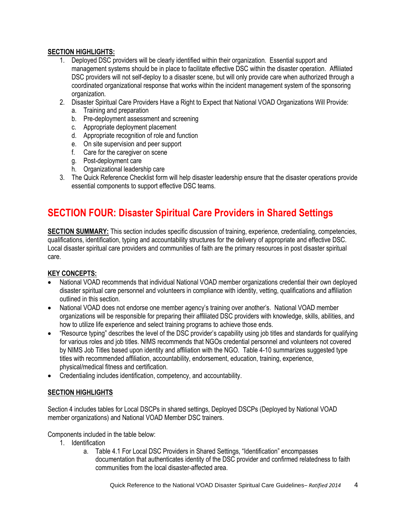#### **SECTION HIGHLIGHTS:**

- 1. Deployed DSC providers will be clearly identified within their organization. Essential support and management systems should be in place to facilitate effective DSC within the disaster operation. Affiliated DSC providers will not self-deploy to a disaster scene, but will only provide care when authorized through a coordinated organizational response that works within the incident management system of the sponsoring organization.
- 2. Disaster Spiritual Care Providers Have a Right to Expect that National VOAD Organizations Will Provide:
	- a. Training and preparation
	- b. Pre-deployment assessment and screening
	- c. Appropriate deployment placement
	- d. Appropriate recognition of role and function
	- e. On site supervision and peer support
	- f. Care for the caregiver on scene
	- g. Post-deployment care
	- h. Organizational leadership care
- 3. The Quick Reference Checklist form will help disaster leadership ensure that the disaster operations provide essential components to support effective DSC teams.

### **SECTION FOUR: Disaster Spiritual Care Providers in Shared Settings**

**SECTION SUMMARY:** This section includes specific discussion of training, experience, credentialing, competencies, qualifications, identification, typing and accountability structures for the delivery of appropriate and effective DSC. Local disaster spiritual care providers and communities of faith are the primary resources in post disaster spiritual care.

#### **KEY CONCEPTS:**

- National VOAD recommends that individual National VOAD member organizations credential their own deployed disaster spiritual care personnel and volunteers in compliance with identity, vetting, qualifications and affiliation outlined in this section.
- National VOAD does not endorse one member agency's training over another's. National VOAD member organizations will be responsible for preparing their affiliated DSC providers with knowledge, skills, abilities, and how to utilize life experience and select training programs to achieve those ends.
- "Resource typing" describes the level of the DSC provider's capability using job titles and standards for qualifying for various roles and job titles. NIMS recommends that NGOs credential personnel and volunteers not covered by NIMS Job Titles based upon identity and affiliation with the NGO. Table 4-10 summarizes suggested type titles with recommended affiliation, accountability, endorsement, education, training, experience, physical/medical fitness and certification.
- Credentialing includes identification, competency, and accountability.

#### **SECTION HIGHLIGHTS**

Section 4 includes tables for Local DSCPs in shared settings, Deployed DSCPs (Deployed by National VOAD member organizations) and National VOAD Member DSC trainers.

Components included in the table below:

- 1. Identification
	- a. Table 4.1 For Local DSC Providers in Shared Settings, "Identification" encompasses documentation that authenticates identity of the DSC provider and confirmed relatedness to faith communities from the local disaster-affected area.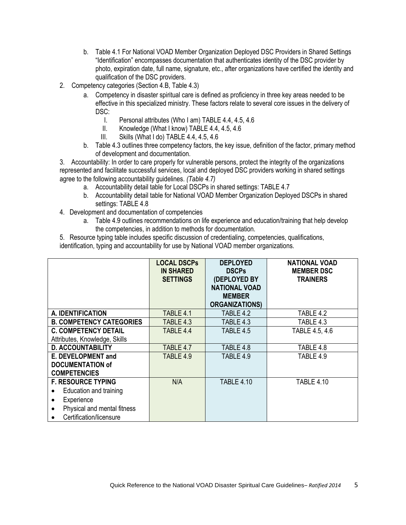- b. Table 4.1 For National VOAD Member Organization Deployed DSC Providers in Shared Settings "Identification" encompasses documentation that authenticates identity of the DSC provider by photo, expiration date, full name, signature, etc., after organizations have certified the identity and qualification of the DSC providers.
- 2. Competency categories (Section 4.B, Table 4.3)
	- a. Competency in disaster spiritual care is defined as proficiency in three key areas needed to be effective in this specialized ministry. These factors relate to several core issues in the delivery of DSC:
		- I. Personal attributes (Who I am) TABLE 4.4, 4.5, 4.6
		- II. Knowledge (What I know) TABLE 4.4, 4.5, 4.6
		- III. Skills (What I do) TABLE 4.4, 4.5, 4.6
	- b. Table 4.3 outlines three competency factors, the key issue, definition of the factor, primary method of development and documentation.

3. Accountability: In order to care properly for vulnerable persons, protect the integrity of the organizations represented and facilitate successful services, local and deployed DSC providers working in shared settings agree to the following accountability guidelines. *(Table 4.7)*

- a. Accountability detail table for Local DSCPs in shared settings: TABLE 4.7
- b. Accountability detail table for National VOAD Member Organization Deployed DSCPs in shared settings: TABLE 4.8
- 4. Development and documentation of competencies
	- a. Table 4.9 outlines recommendations on life experience and education/training that help develop the competencies, in addition to methods for documentation.

5. Resource typing table includes specific discussion of credentialing, competencies, qualifications, identification, typing and accountability for use by National VOAD member organizations.

|                                 | <b>LOCAL DSCPs</b><br><b>IN SHARED</b><br><b>SETTINGS</b> | <b>DEPLOYED</b><br><b>DSCPs</b><br>(DEPLOYED BY<br><b>NATIONAL VOAD</b><br><b>MEMBER</b><br><b>ORGANIZATIONS)</b> | <b>NATIONAL VOAD</b><br><b>MEMBER DSC</b><br><b>TRAINERS</b> |
|---------------------------------|-----------------------------------------------------------|-------------------------------------------------------------------------------------------------------------------|--------------------------------------------------------------|
| A. IDENTIFICATION               | TABLE 4.1                                                 | TABLE 4.2                                                                                                         | TABLE 4.2                                                    |
| <b>B. COMPETENCY CATEGORIES</b> | TABLE 4.3                                                 | TABLE 4.3                                                                                                         | TABLE 4.3                                                    |
| <b>C. COMPETENCY DETAIL</b>     | TABLE 4.4                                                 | TABLE 4.5                                                                                                         | TABLE 4.5, 4.6                                               |
| Attributes, Knowledge, Skills   |                                                           |                                                                                                                   |                                                              |
| <b>D. ACCOUNTABILITY</b>        | TABLE 4.7                                                 | TABLE 4.8                                                                                                         | TABLE 4.8                                                    |
| E. DEVELOPMENT and              | TABLE 4.9                                                 | TABLE 4.9                                                                                                         | TABLE 4.9                                                    |
| <b>DOCUMENTATION of</b>         |                                                           |                                                                                                                   |                                                              |
| <b>COMPETENCIES</b>             |                                                           |                                                                                                                   |                                                              |
| <b>F. RESOURCE TYPING</b>       | N/A                                                       | <b>TABLE 4.10</b>                                                                                                 | <b>TABLE 4.10</b>                                            |
| Education and training          |                                                           |                                                                                                                   |                                                              |
| Experience                      |                                                           |                                                                                                                   |                                                              |
| Physical and mental fitness     |                                                           |                                                                                                                   |                                                              |
| Certification/licensure         |                                                           |                                                                                                                   |                                                              |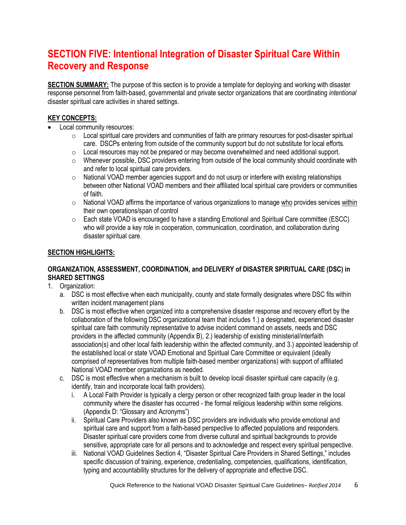# **SECTION FIVE: Intentional Integration of Disaster Spiritual Care Within Recovery and Response**

**SECTION SUMMARY:** The purpose of this section is to provide a template for deploying and working with disaster response personnel from faith-based, governmental and private sector organizations that are coordinating *intentional* disaster spiritual care activities in shared settings.

#### **KEY CONCEPTS:**

- Local community resources:
	- $\circ$  Local spiritual care providers and communities of faith are primary resources for post-disaster spiritual care. DSCPs entering from outside of the community support but do not substitute for local efforts.
	- $\circ$  Local resources may not be prepared or may become overwhelmed and need additional support.
	- o Whenever possible, DSC providers entering from outside of the local community should coordinate with and refer to local spiritual care providers.
	- $\circ$  National VOAD member agencies support and do not usurp or interfere with existing relationships between other National VOAD members and their affiliated local spiritual care providers or communities of faith.
	- $\circ$  National VOAD affirms the importance of various organizations to manage who provides services within their own operations/span of control
	- $\circ$  Each state VOAD is encouraged to have a standing Emotional and Spiritual Care committee (ESCC) who will provide a key role in cooperation, communication, coordination, and collaboration during disaster spiritual care.

#### **SECTION HIGHLIGHTS:**

#### **ORGANIZATION, ASSESSMENT, COORDINATION, and DELIVERY of DISASTER SPIRITUAL CARE (DSC) in SHARED SETTINGS**

- 1. Organization:
	- a. DSC is most effective when each municipality, county and state formally designates where DSC fits within written incident management plans
	- b. DSC is most effective when organized into a comprehensive disaster response and recovery effort by the collaboration of the following DSC organizational team that includes 1.) a designated, experienced disaster spiritual care faith community representative to advise incident command on assets, needs and DSC providers in the affected community (Appendix B), 2.) leadership of existing ministerial/interfaith association(s) and other local faith leadership within the affected community, and 3.) appointed leadership of the established local or state VOAD Emotional and Spiritual Care Committee or equivalent (ideally comprised of representatives from multiple faith-based member organizations) with support of affiliated National VOAD member organizations as needed.
	- c. DSC is most effective when a mechanism is built to develop local disaster spiritual care capacity (e.g. identify, train and incorporate local faith providers).
		- i. A Local Faith Provider is typically a clergy person or other recognized faith group leader in the local community where the disaster has occurred - the formal religious leadership within some religions. (Appendix D: "Glossary and Acronyms")
		- ii. Spiritual Care Providers also known as DSC providers are individuals who provide emotional and spiritual care and support from a faith-based perspective to affected populations and responders. Disaster spiritual care providers come from diverse cultural and spiritual backgrounds to provide sensitive, appropriate care for all persons and to acknowledge and respect every spiritual perspective.
		- iii. National VOAD Guidelines Section 4, "Disaster Spiritual Care Providers in Shared Settings," includes specific discussion of training, experience, credentialing, competencies, qualifications, identification, typing and accountability structures for the delivery of appropriate and effective DSC.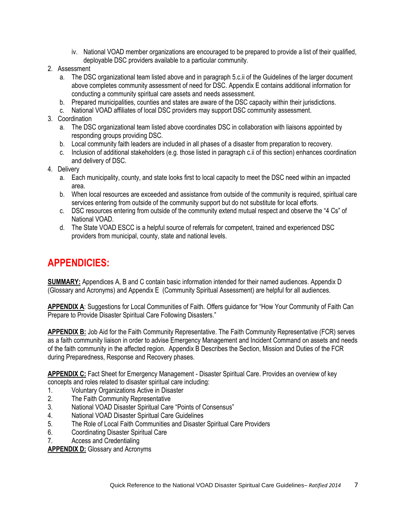- iv. National VOAD member organizations are encouraged to be prepared to provide a list of their qualified, deployable DSC providers available to a particular community.
- 2. Assessment
	- a. The DSC organizational team listed above and in paragraph 5.c.ii of the Guidelines of the larger document above completes community assessment of need for DSC. Appendix E contains additional information for conducting a community spiritual care assets and needs assessment.
	- b. Prepared municipalities, counties and states are aware of the DSC capacity within their jurisdictions.
	- c. National VOAD affiliates of local DSC providers may support DSC community assessment.
- 3. Coordination
	- a. The DSC organizational team listed above coordinates DSC in collaboration with liaisons appointed by responding groups providing DSC.
	- b. Local community faith leaders are included in all phases of a disaster from preparation to recovery.
	- c. Inclusion of additional stakeholders (e.g. those listed in paragraph c.ii of this section) enhances coordination and delivery of DSC.
- 4. Delivery
	- a. Each municipality, county, and state looks first to local capacity to meet the DSC need within an impacted area.
	- b. When local resources are exceeded and assistance from outside of the community is required, spiritual care services entering from outside of the community support but do not substitute for local efforts.
	- c. DSC resources entering from outside of the community extend mutual respect and observe the "4 Cs" of National VOAD.
	- d. The State VOAD ESCC is a helpful source of referrals for competent, trained and experienced DSC providers from municipal, county, state and national levels.

### **APPENDICIES:**

**SUMMARY:** Appendices A, B and C contain basic information intended for their named audiences. Appendix D (Glossary and Acronyms) and Appendix E (Community Spiritual Assessment) are helpful for all audiences.

**APPENDIX A**: Suggestions for Local Communities of Faith. Offers guidance for "How Your Community of Faith Can Prepare to Provide Disaster Spiritual Care Following Disasters."

**APPENDIX B:** Job Aid for the Faith Community Representative. The Faith Community Representative (FCR) serves as a faith community liaison in order to advise Emergency Management and Incident Command on assets and needs of the faith community in the affected region. Appendix B Describes the Section, Mission and Duties of the FCR during Preparedness, Response and Recovery phases.

**APPENDIX C:** Fact Sheet for Emergency Management - Disaster Spiritual Care. Provides an overview of key concepts and roles related to disaster spiritual care including:

- 1. Voluntary Organizations Active in Disaster
- 2. The Faith Community Representative
- 3. National VOAD Disaster Spiritual Care "Points of Consensus"
- 4. National VOAD Disaster Spiritual Care Guidelines
- 5. The Role of Local Faith Communities and Disaster Spiritual Care Providers
- 6. Coordinating Disaster Spiritual Care
- 7. Access and Credentialing

**APPENDIX D:** Glossary and Acronyms